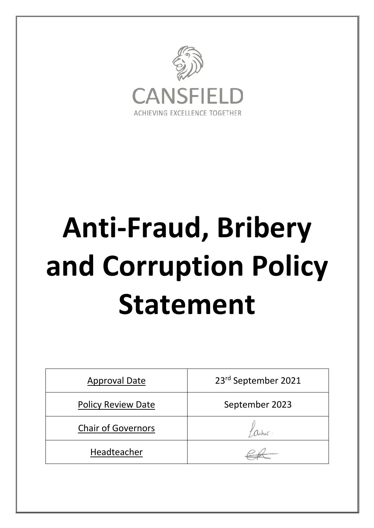

# **Anti-Fraud, Bribery and Corruption Policy Statement**

| <b>Approval Date</b>      | 23rd September 2021 |
|---------------------------|---------------------|
| <b>Policy Review Date</b> | September 2023      |
| <b>Chair of Governors</b> |                     |
| Headteacher               |                     |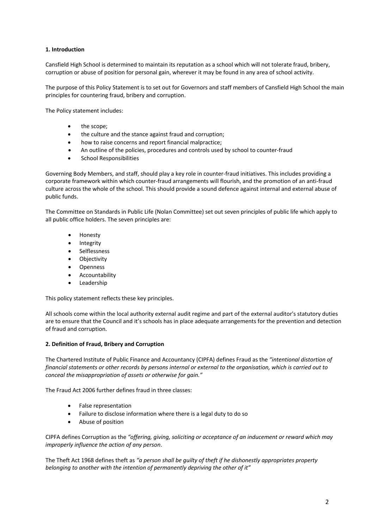# **1. Introduction**

Cansfield High School is determined to maintain its reputation as a school which will not tolerate fraud, bribery, corruption or abuse of position for personal gain, wherever it may be found in any area of school activity.

The purpose of this Policy Statement is to set out for Governors and staff members of Cansfield High School the main principles for countering fraud, bribery and corruption.

The Policy statement includes:

- the scope;
- the culture and the stance against fraud and corruption;
- how to raise concerns and report financial malpractice;
- An outline of the policies, procedures and controls used by school to counter-fraud
- School Responsibilities

Governing Body Members, and staff, should play a key role in counter-fraud initiatives. This includes providing a corporate framework within which counter-fraud arrangements will flourish, and the promotion of an anti-fraud culture across the whole of the school. This should provide a sound defence against internal and external abuse of public funds.

The Committee on Standards in Public Life (Nolan Committee) set out seven principles of public life which apply to all public office holders. The seven principles are:

- Honesty
- **Integrity**
- **Selflessness**
- Objectivity
- Openness
- **Accountability**
- **Leadership**

This policy statement reflects these key principles.

All schools come within the local authority external audit regime and part of the external auditor's statutory duties are to ensure that the Council and it's schools has in place adequate arrangements for the prevention and detection of fraud and corruption.

### **2. Definition of Fraud, Bribery and Corruption**

The Chartered Institute of Public Finance and Accountancy (CIPFA) defines Fraud as the *"intentional distortion of financial statements or other records by persons internal or external to the organisation, which is carried out to conceal the misappropriation of assets or otherwise for gain."*

The Fraud Act 2006 further defines fraud in three classes:

- False representation
- Failure to disclose information where there is a legal duty to do so
- Abuse of position

CIPFA defines Corruption as the *"offering, giving, soliciting or acceptance of an inducement or reward which may improperly influence the action of any person*.

The Theft Act 1968 defines theft as *"a person shall be guilty of theft if he dishonestly appropriates property belonging to another with the intention of permanently depriving the other of it"*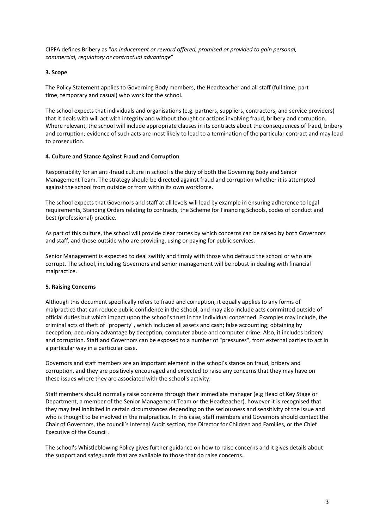CIPFA defines Bribery as "*an inducement or reward offered, promised or provided to gain personal, commercial, regulatory or contractual advantage*"

## **3. Scope**

The Policy Statement applies to Governing Body members, the Headteacher and all staff (full time, part time, temporary and casual) who work for the school.

The school expects that individuals and organisations (e.g. partners, suppliers, contractors, and service providers) that it deals with will act with integrity and without thought or actions involving fraud, bribery and corruption. Where relevant, the school will include appropriate clauses in its contracts about the consequences of fraud, bribery and corruption; evidence of such acts are most likely to lead to a termination of the particular contract and may lead to prosecution.

### **4. Culture and Stance Against Fraud and Corruption**

Responsibility for an anti-fraud culture in school is the duty of both the Governing Body and Senior Management Team. The strategy should be directed against fraud and corruption whether it is attempted against the school from outside or from within its own workforce.

The school expects that Governors and staff at all levels will lead by example in ensuring adherence to legal requirements, Standing Orders relating to contracts, the Scheme for Financing Schools, codes of conduct and best (professional) practice.

As part of this culture, the school will provide clear routes by which concerns can be raised by both Governors and staff, and those outside who are providing, using or paying for public services.

Senior Management is expected to deal swiftly and firmly with those who defraud the school or who are corrupt. The school, including Governors and senior management will be robust in dealing with financial malpractice.

# **5. Raising Concerns**

Although this document specifically refers to fraud and corruption, it equally applies to any forms of malpractice that can reduce public confidence in the school, and may also include acts committed outside of official duties but which impact upon the school's trust in the individual concerned. Examples may include, the criminal acts of theft of "property", which includes all assets and cash; false accounting; obtaining by deception; pecuniary advantage by deception; computer abuse and computer crime. Also, it includes bribery and corruption. Staff and Governors can be exposed to a number of "pressures", from external parties to act in a particular way in a particular case.

Governors and staff members are an important element in the school's stance on fraud, bribery and corruption, and they are positively encouraged and expected to raise any concerns that they may have on these issues where they are associated with the school's activity.

Staff members should normally raise concerns through their immediate manager (e.g Head of Key Stage or Department, a member of the Senior Management Team or the Headteacher), however it is recognised that they may feel inhibited in certain circumstances depending on the seriousness and sensitivity of the issue and who is thought to be involved in the malpractice. In this case, staff members and Governors should contact the Chair of Governors, the council's Internal Audit section, the Director for Children and Families, or the Chief Executive of the Council .

The school's Whistleblowing Policy gives further guidance on how to raise concerns and it gives details about the support and safeguards that are available to those that do raise concerns.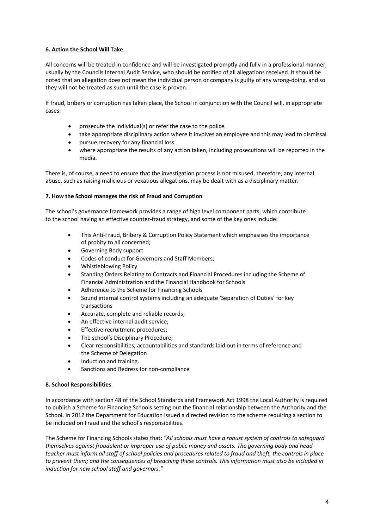# **6. Action the School Will Take**

All concerns will be treated in confidence and will be investigated promptly and fully in a professional manner, usually by the Councils Internal Audit Service, who should be notified of all allegations received. It should be noted that an allegation does not mean the individual person or company is guilty of any wrong-doing, and so they will not be treated as such until the case is proven.

If fraud, bribery or corruption has taken place, the School in conjunction with the Council will, in appropriate cases:

- prosecute the individual(s) or refer the case to the police
- take appropriate disciplinary action where it involves an employee and this may lead to dismissal
- pursue recovery for any financial loss
- where appropriate the results of any action taken, including prosecutions will be reported in the media.

There is, of course, a need to ensure that the investigation process is not misused, therefore, any internal abuse, such as raising malicious or vexatious allegations, may be dealt with as a disciplinary matter.

### **7. How the School manages the risk of Fraud and Corruption**

The school's governance framework provides a range of high level component parts, which contribute to the school having an effective counter-fraud strategy, and some of the key ones include:

- This Anti-Fraud, Bribery & Corruption Policy Statement which emphasises the importance of probity to all concerned;
- Governing Body support
- Codes of conduct for Governors and Staff Members;
- Whistleblowing Policy
- Standing Orders Relating to Contracts and Financial Procedures including the Scheme of Financial Administration and the Financial Handbook for Schools
- Adherence to the Scheme for Financing Schools
- Sound internal control systems including an adequate 'Separation of Duties' for key transactions
- Accurate, complete and reliable records;
- An effective internal audit service;
- Effective recruitment procedures;
- The school's Disciplinary Procedure;
- Clear responsibilities, accountabilities and standards laid out in terms of reference and the Scheme of Delegation
- Induction and training.
- Sanctions and Redress for non-compliance

### **8. School Responsibilities**

In accordance with section 48 of the School Standards and Framework Act 1998 the Local Authority is required to publish a Scheme for Financing Schools setting out the financial relationship between the Authority and the School. In 2012 the Department for Education issued a directed revision to the scheme requiring a section to be included on Fraud and the school's responsibilities.

The Scheme for Financing Schools states that: *"All schools must have a robust system of controls to safeguard themselves against fraudulent or improper use of public money and assets. The governing body and head teacher must inform all staff of school policies and procedures related to fraud and theft, the controls in place to prevent them; and the consequences of breaching these controls. This information must also be included in induction for new school staff and governors."*